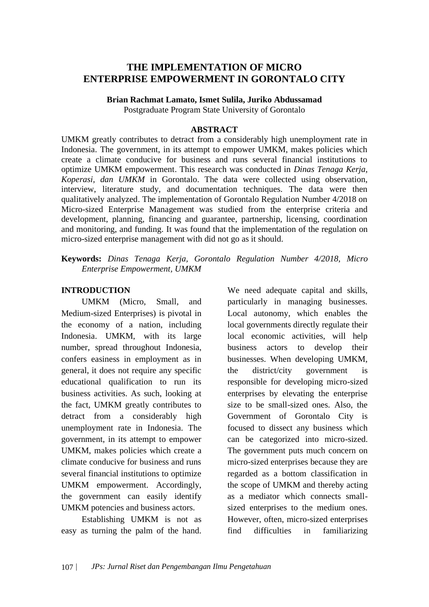# **THE IMPLEMENTATION OF MICRO ENTERPRISE EMPOWERMENT IN GORONTALO CITY**

**Brian Rachmat Lamato, Ismet Sulila, Juriko Abdussamad**

Postgraduate Program State University of Gorontalo

#### **ABSTRACT**

UMKM greatly contributes to detract from a considerably high unemployment rate in Indonesia. The government, in its attempt to empower UMKM, makes policies which create a climate conducive for business and runs several financial institutions to optimize UMKM empowerment. This research was conducted in *Dinas Tenaga Kerja, Koperasi, dan UMKM* in Gorontalo. The data were collected using observation, interview, literature study, and documentation techniques. The data were then qualitatively analyzed. The implementation of Gorontalo Regulation Number 4/2018 on Micro-sized Enterprise Management was studied from the enterprise criteria and development, planning, financing and guarantee, partnership, licensing, coordination and monitoring, and funding. It was found that the implementation of the regulation on micro-sized enterprise management with did not go as it should.

**Keywords:** *Dinas Tenaga Kerja, Gorontalo Regulation Number 4/2018, Micro Enterprise Empowerment, UMKM*

#### **INTRODUCTION**

UMKM (Micro, Small, and Medium-sized Enterprises) is pivotal in the economy of a nation, including Indonesia. UMKM, with its large number, spread throughout Indonesia, confers easiness in employment as in general, it does not require any specific educational qualification to run its business activities. As such, looking at the fact, UMKM greatly contributes to detract from a considerably high unemployment rate in Indonesia. The government, in its attempt to empower UMKM, makes policies which create a climate conducive for business and runs several financial institutions to optimize UMKM empowerment. Accordingly, the government can easily identify UMKM potencies and business actors.

Establishing UMKM is not as easy as turning the palm of the hand. We need adequate capital and skills, particularly in managing businesses. Local autonomy, which enables the local governments directly regulate their local economic activities, will help business actors to develop their businesses. When developing UMKM, the district/city government is responsible for developing micro-sized enterprises by elevating the enterprise size to be small-sized ones. Also, the Government of Gorontalo City is focused to dissect any business which can be categorized into micro-sized. The government puts much concern on micro-sized enterprises because they are regarded as a bottom classification in the scope of UMKM and thereby acting as a mediator which connects smallsized enterprises to the medium ones. However, often, micro-sized enterprises find difficulties in familiarizing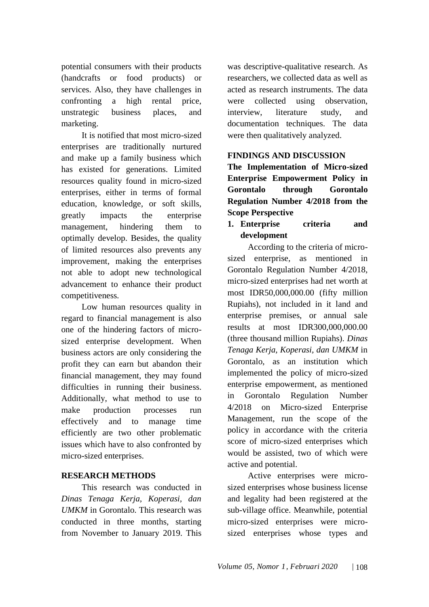potential consumers with their products (handcrafts or food products) or services. Also, they have challenges in confronting a high rental price, unstrategic business places, and marketing.

It is notified that most micro-sized enterprises are traditionally nurtured and make up a family business which has existed for generations. Limited resources quality found in micro-sized enterprises, either in terms of formal education, knowledge, or soft skills, greatly impacts the enterprise management, hindering them to optimally develop. Besides, the quality of limited resources also prevents any improvement, making the enterprises not able to adopt new technological advancement to enhance their product competitiveness.

Low human resources quality in regard to financial management is also one of the hindering factors of microsized enterprise development. When business actors are only considering the profit they can earn but abandon their financial management, they may found difficulties in running their business. Additionally, what method to use to make production processes run effectively and to manage time efficiently are two other problematic issues which have to also confronted by micro-sized enterprises.

### **RESEARCH METHODS**

This research was conducted in *Dinas Tenaga Kerja, Koperasi, dan UMKM* in Gorontalo. This research was conducted in three months, starting from November to January 2019. This

was descriptive-qualitative research. As researchers, we collected data as well as acted as research instruments. The data were collected using observation, interview, literature study, and documentation techniques. The data were then qualitatively analyzed.

### **FINDINGS AND DISCUSSION**

**The Implementation of Micro-sized Enterprise Empowerment Policy in Gorontalo through Gorontalo Regulation Number 4/2018 from the Scope Perspective**

**1. Enterprise criteria and development**

According to the criteria of microsized enterprise, as mentioned in Gorontalo Regulation Number 4/2018, micro-sized enterprises had net worth at most IDR50,000,000.00 (fifty million Rupiahs), not included in it land and enterprise premises, or annual sale results at most IDR300,000,000.00 (three thousand million Rupiahs). *Dinas Tenaga Kerja, Koperasi, dan UMKM* in Gorontalo, as an institution which implemented the policy of micro-sized enterprise empowerment, as mentioned in Gorontalo Regulation Number 4/2018 on Micro-sized Enterprise Management, run the scope of the policy in accordance with the criteria score of micro-sized enterprises which would be assisted, two of which were active and potential.

Active enterprises were microsized enterprises whose business license and legality had been registered at the sub-village office. Meanwhile, potential micro-sized enterprises were microsized enterprises whose types and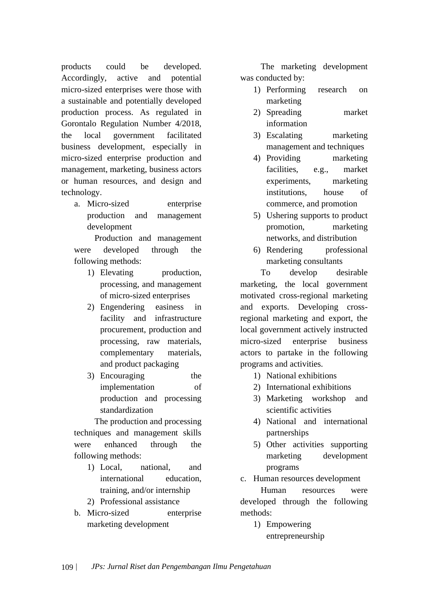products could be developed. Accordingly, active and potential micro-sized enterprises were those with a sustainable and potentially developed production process. As regulated in Gorontalo Regulation Number 4/2018, the local government facilitated business development, especially in micro-sized enterprise production and management, marketing, business actors or human resources, and design and technology.

a. Micro-sized enterprise production and management development

Production and management were developed through the following methods:

- 1) Elevating production, processing, and management of micro-sized enterprises
- 2) Engendering easiness in facility and infrastructure procurement, production and processing, raw materials, complementary materials, and product packaging
- 3) Encouraging the implementation of production and processing standardization

The production and processing techniques and management skills were enhanced through the following methods:

- 1) Local, national, and international education, training, and/or internship
- 2) Professional assistance
- b. Micro-sized enterprise marketing development

The marketing development was conducted by:

- 1) Performing research on marketing
- 2) Spreading market information
- 3) Escalating marketing management and techniques
- 4) Providing marketing facilities, e.g., market experiments, marketing institutions, house of commerce, and promotion
- 5) Ushering supports to product promotion, marketing networks, and distribution
- 6) Rendering professional marketing consultants

To develop desirable marketing, the local government motivated cross-regional marketing and exports. Developing crossregional marketing and export, the local government actively instructed micro-sized enterprise business actors to partake in the following programs and activities.

- 1) National exhibitions
- 2) International exhibitions
- 3) Marketing workshop and scientific activities
- 4) National and international partnerships
- 5) Other activities supporting marketing development programs
- c. Human resources development

Human resources were developed through the following methods:

> 1) Empowering entrepreneurship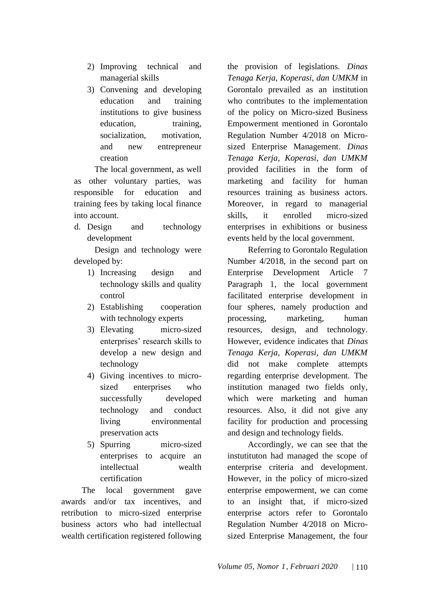- 2) Improving technical and managerial skills
- 3) Convening and developing education and training institutions to give business education, training, socialization, motivation, and new entrepreneur creation

The local government, as well as other voluntary parties, was responsible for education and training fees by taking local finance into account.

d. Design and technology development

Design and technology were developed by:

- 1) Increasing design and technology skills and quality control
- 2) Establishing cooperation with technology experts
- 3) Elevating micro-sized enterprises' research skills to develop a new design and technology
- 4) Giving incentives to microsized enterprises who successfully developed technology and conduct living environmental preservation acts
- 5) Spurring micro-sized enterprises to acquire an intellectual wealth certification

The local government gave awards and/or tax incentives, and retribution to micro-sized enterprise business actors who had intellectual wealth certification registered following

the provision of legislations. *Dinas Tenaga Kerja, Koperasi, dan UMKM* in Gorontalo prevailed as an institution who contributes to the implementation of the policy on Micro-sized Business Empowerment mentioned in Gorontalo Regulation Number 4/2018 on Microsized Enterprise Management. *Dinas Tenaga Kerja, Koperasi, dan UMKM*  provided facilities in the form of marketing and facility for human resources training as business actors. Moreover, in regard to managerial skills, it enrolled micro-sized enterprises in exhibitions or business events held by the local government.

Referring to Gorontalo Regulation Number 4/2018, in the second part on Enterprise Development Article 7 Paragraph 1, the local government facilitated enterprise development in four spheres, namely production and processing, marketing, human resources, design, and technology. However, evidence indicates that *Dinas Tenaga Kerja, Koperasi, dan UMKM* did not make complete attempts regarding enterprise development. The institution managed two fields only, which were marketing and human resources. Also, it did not give any facility for production and processing and design and technology fields.

Accordingly, we can see that the instutituton had managed the scope of enterprise criteria and development. However, in the policy of micro-sized enterprise empowerment, we can come to an insight that, if micro-sized enterprise actors refer to Gorontalo Regulation Number 4/2018 on Microsized Enterprise Management, the four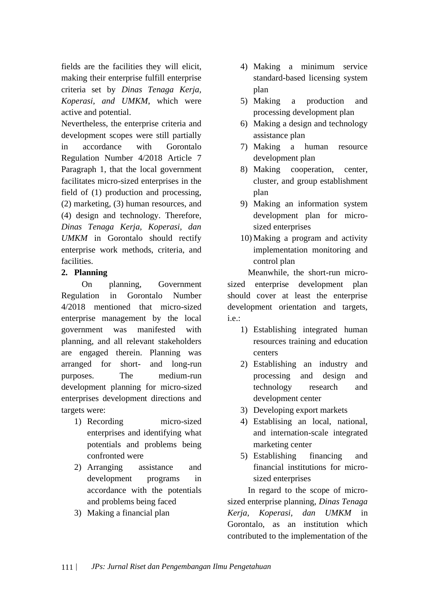fields are the facilities they will elicit, making their enterprise fulfill enterprise criteria set by *Dinas Tenaga Kerja, Koperasi, and UMKM*, which were active and potential.

Nevertheless, the enterprise criteria and development scopes were still partially in accordance with Gorontalo Regulation Number 4/2018 Article 7 Paragraph 1, that the local government facilitates micro-sized enterprises in the field of (1) production and processing, (2) marketing, (3) human resources, and (4) design and technology. Therefore, *Dinas Tenaga Kerja, Koperasi, dan UMKM* in Gorontalo should rectify enterprise work methods, criteria, and facilities.

### **2. Planning**

On planning, Government Regulation in Gorontalo Number 4/2018 mentioned that micro-sized enterprise management by the local government was manifested with planning, and all relevant stakeholders are engaged therein. Planning was arranged for short- and long-run purposes. The medium-run development planning for micro-sized enterprises development directions and targets were:

- 1) Recording micro-sized enterprises and identifying what potentials and problems being confronted were
- 2) Arranging assistance and development programs in accordance with the potentials and problems being faced
- 3) Making a financial plan
- 4) Making a minimum service standard-based licensing system plan
- 5) Making a production and processing development plan
- 6) Making a design and technology assistance plan
- 7) Making a human resource development plan
- 8) Making cooperation, center, cluster, and group establishment plan
- 9) Making an information system development plan for microsized enterprises
- 10) Making a program and activity implementation monitoring and control plan

Meanwhile, the short-run microsized enterprise development plan should cover at least the enterprise development orientation and targets, i.e.:

- 1) Establishing integrated human resources training and education centers
- 2) Establishing an industry and processing and design and technology research and development center
- 3) Developing export markets
- 4) Establising an local, national, and internation-scale integrated marketing center
- 5) Establishing financing and financial institutions for microsized enterprises

In regard to the scope of microsized enterprise planning, *Dinas Tenaga Kerja, Koperasi, dan UMKM* in Gorontalo, as an institution which contributed to the implementation of the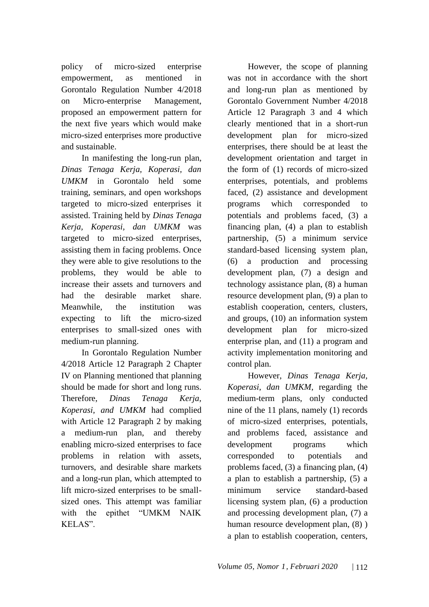policy of micro-sized enterprise empowerment, as mentioned in Gorontalo Regulation Number 4/2018 on Micro-enterprise Management, proposed an empowerment pattern for the next five years which would make micro-sized enterprises more productive and sustainable.

In manifesting the long-run plan, *Dinas Tenaga Kerja, Koperasi, dan UMKM* in Gorontalo held some training, seminars, and open workshops targeted to micro-sized enterprises it assisted. Training held by *Dinas Tenaga Kerja, Koperasi, dan UMKM* was targeted to micro-sized enterprises, assisting them in facing problems. Once they were able to give resolutions to the problems, they would be able to increase their assets and turnovers and had the desirable market share. Meanwhile, the institution was expecting to lift the micro-sized enterprises to small-sized ones with medium-run planning.

In Gorontalo Regulation Number 4/2018 Article 12 Paragraph 2 Chapter IV on Planning mentioned that planning should be made for short and long runs. Therefore, *Dinas Tenaga Kerja, Koperasi, and UMKM* had complied with Article 12 Paragraph 2 by making a medium-run plan, and thereby enabling micro-sized enterprises to face problems in relation with assets, turnovers, and desirable share markets and a long-run plan, which attempted to lift micro-sized enterprises to be smallsized ones. This attempt was familiar with the epithet "UMKM NAIK KELAS".

However, the scope of planning was not in accordance with the short and long-run plan as mentioned by Gorontalo Government Number 4/2018 Article 12 Paragraph 3 and 4 which clearly mentioned that in a short-run development plan for micro-sized enterprises, there should be at least the development orientation and target in the form of (1) records of micro-sized enterprises, potentials, and problems faced, (2) assistance and development programs which corresponded to potentials and problems faced, (3) a financing plan, (4) a plan to establish partnership, (5) a minimum service standard-based licensing system plan, (6) a production and processing development plan, (7) a design and technology assistance plan, (8) a human resource development plan, (9) a plan to establish cooperation, centers, clusters, and groups, (10) an information system development plan for micro-sized enterprise plan, and (11) a program and activity implementation monitoring and control plan.

However, *Dinas Tenaga Kerja, Koperasi, dan UMKM*, regarding the medium-term plans, only conducted nine of the 11 plans, namely (1) records of micro-sized enterprises, potentials, and problems faced, assistance and development programs which corresponded to potentials and problems faced, (3) a financing plan, (4) a plan to establish a partnership, (5) a minimum service standard-based licensing system plan, (6) a production and processing development plan, (7) a human resource development plan, (8) ) a plan to establish cooperation, centers,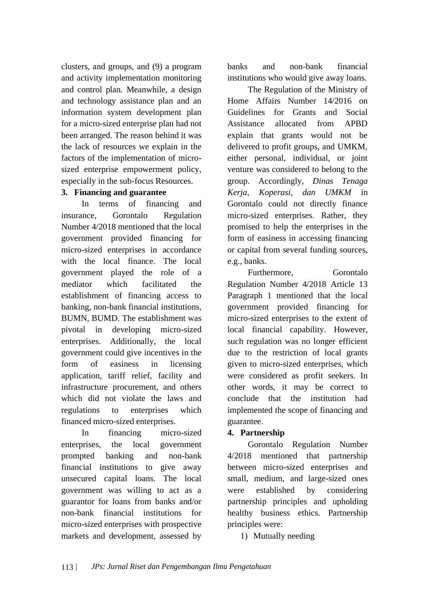clusters, and groups, and (9) a program and activity implementation monitoring and control plan. Meanwhile, a design and technology assistance plan and an information system development plan for a micro-sized enterprise plan had not been arranged. The reason behind it was the lack of resources we explain in the factors of the implementation of microsized enterprise empowerment policy, especially in the sub-focus Resources.

### **3. Financing and guarantee**

In terms of financing and insurance, Gorontalo Regulation Number 4/2018 mentioned that the local government provided financing for micro-sized enterprises in accordance with the local finance. The local government played the role of a mediator which facilitated the establishment of financing access to banking, non-bank financial institutions, BUMN, BUMD. The establishment was pivotal in developing micro-sized enterprises. Additionally, the local government could give incentives in the form of easiness in licensing application, tariff relief, facility and infrastructure procurement, and others which did not violate the laws and regulations to enterprises which financed micro-sized enterprises.

In financing micro-sized enterprises, the local government prompted banking and non-bank financial institutions to give away unsecured capital loans. The local government was willing to act as a guarantor for loans from banks and/or non-bank financial institutions for micro-sized enterprises with prospective markets and development, assessed by

banks and non-bank financial institutions who would give away loans.

The Regulation of the Ministry of Home Affairs Number 14/2016 on Guidelines for Grants and Social Assistance allocated from APBD explain that grants would not be delivered to profit groups, and UMKM, either personal, individual, or joint venture was considered to belong to the group. Accordingly, *Dinas Tenaga Kerja, Koperasi, dan UMKM* in Gorontalo could not directly finance micro-sized enterprises. Rather, they promised to help the enterprises in the form of easiness in accessing financing or capital from several funding sources, e.g., banks.

Furthermore, Gorontalo Regulation Number 4/2018 Article 13 Paragraph 1 mentioned that the local government provided financing for micro-sized enterprises to the extent of local financial capability. However, such regulation was no longer efficient due to the restriction of local grants given to micro-sized enterprises, which were considered as profit seekers. In other words, it may be correct to conclude that the institution had implemented the scope of financing and guarantee.

### **4. Partnership**

Gorontalo Regulation Number 4/2018 mentioned that partnership between micro-sized enterprises and small, medium, and large-sized ones were established by considering partnership principles and upholding healthy business ethics. Partnership principles were:

1) Mutually needing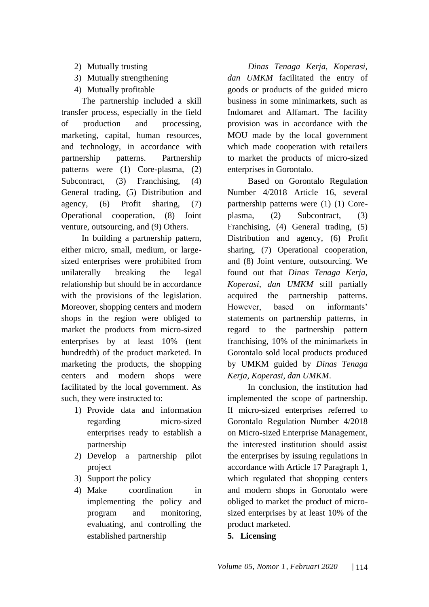- 2) Mutually trusting
- 3) Mutually strengthening
- 4) Mutually profitable

The partnership included a skill transfer process, especially in the field of production and processing, marketing, capital, human resources, and technology, in accordance with partnership patterns. Partnership patterns were (1) Core-plasma, (2) Subcontract, (3) Franchising, (4) General trading, (5) Distribution and agency, (6) Profit sharing, (7) Operational cooperation, (8) Joint venture, outsourcing, and (9) Others.

In building a partnership pattern, either micro, small, medium, or largesized enterprises were prohibited from unilaterally breaking the legal relationship but should be in accordance with the provisions of the legislation. Moreover, shopping centers and modern shops in the region were obliged to market the products from micro-sized enterprises by at least 10% (tent hundredth) of the product marketed. In marketing the products, the shopping centers and modern shops were facilitated by the local government. As such, they were instructed to:

- 1) Provide data and information regarding micro-sized enterprises ready to establish a partnership
- 2) Develop a partnership pilot project
- 3) Support the policy
- 4) Make coordination in implementing the policy and program and monitoring, evaluating, and controlling the established partnership

*Dinas Tenaga Kerja, Koperasi, dan UMKM* facilitated the entry of goods or products of the guided micro business in some minimarkets, such as Indomaret and Alfamart. The facility provision was in accordance with the MOU made by the local government which made cooperation with retailers to market the products of micro-sized enterprises in Gorontalo.

Based on Gorontalo Regulation Number 4/2018 Article 16, several partnership patterns were (1) (1) Coreplasma, (2) Subcontract, (3) Franchising, (4) General trading, (5) Distribution and agency, (6) Profit sharing, (7) Operational cooperation, and (8) Joint venture, outsourcing. We found out that *Dinas Tenaga Kerja, Koperasi, dan UMKM* still partially acquired the partnership patterns. However, based on informants' statements on partnership patterns, in regard to the partnership pattern franchising, 10% of the minimarkets in Gorontalo sold local products produced by UMKM guided by *Dinas Tenaga Kerja, Koperasi, dan UMKM*.

In conclusion, the institution had implemented the scope of partnership. If micro-sized enterprises referred to Gorontalo Regulation Number 4/2018 on Micro-sized Enterprise Management, the interested institution should assist the enterprises by issuing regulations in accordance with Article 17 Paragraph 1, which regulated that shopping centers and modern shops in Gorontalo were obliged to market the product of microsized enterprises by at least 10% of the product marketed.

**5. Licensing**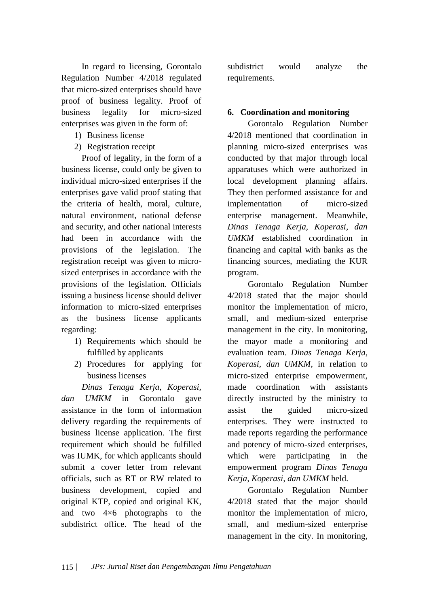In regard to licensing, Gorontalo Regulation Number 4/2018 regulated that micro-sized enterprises should have proof of business legality. Proof of business legality for micro-sized enterprises was given in the form of:

- 1) Business license
- 2) Registration receipt

Proof of legality, in the form of a business license, could only be given to individual micro-sized enterprises if the enterprises gave valid proof stating that the criteria of health, moral, culture, natural environment, national defense and security, and other national interests had been in accordance with the provisions of the legislation. The registration receipt was given to microsized enterprises in accordance with the provisions of the legislation. Officials issuing a business license should deliver information to micro-sized enterprises as the business license applicants regarding:

- 1) Requirements which should be fulfilled by applicants
- 2) Procedures for applying for business licenses

*Dinas Tenaga Kerja, Koperasi, dan UMKM* in Gorontalo gave assistance in the form of information delivery regarding the requirements of business license application. The first requirement which should be fulfilled was IUMK, for which applicants should submit a cover letter from relevant officials, such as RT or RW related to business development, copied and original KTP, copied and original KK, and two 4×6 photographs to the subdistrict office. The head of the

subdistrict would analyze the requirements.

# **6. Coordination and monitoring**

Gorontalo Regulation Number 4/2018 mentioned that coordination in planning micro-sized enterprises was conducted by that major through local apparatuses which were authorized in local development planning affairs. They then performed assistance for and implementation of micro-sized enterprise management. Meanwhile, *Dinas Tenaga Kerja, Koperasi, dan UMKM* established coordination in financing and capital with banks as the financing sources, mediating the KUR program.

Gorontalo Regulation Number 4/2018 stated that the major should monitor the implementation of micro, small, and medium-sized enterprise management in the city. In monitoring, the mayor made a monitoring and evaluation team. *Dinas Tenaga Kerja, Koperasi, dan UMKM*, in relation to micro-sized enterprise empowerment, made coordination with assistants directly instructed by the ministry to assist the guided micro-sized enterprises. They were instructed to made reports regarding the performance and potency of micro-sized enterprises, which were participating in the empowerment program *Dinas Tenaga Kerja, Koperasi, dan UMKM* held.

Gorontalo Regulation Number 4/2018 stated that the major should monitor the implementation of micro, small, and medium-sized enterprise management in the city. In monitoring,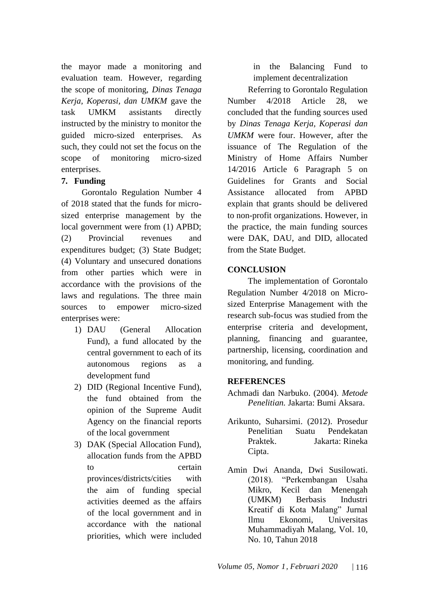the mayor made a monitoring and evaluation team. However, regarding the scope of monitoring, *Dinas Tenaga Kerja, Koperasi, dan UMKM* gave the task UMKM assistants directly instructed by the ministry to monitor the guided micro-sized enterprises. As such, they could not set the focus on the scope of monitoring micro-sized enterprises.

### **7. Funding**

Gorontalo Regulation Number 4 of 2018 stated that the funds for microsized enterprise management by the local government were from (1) APBD; (2) Provincial revenues and expenditures budget; (3) State Budget; (4) Voluntary and unsecured donations from other parties which were in accordance with the provisions of the laws and regulations. The three main sources to empower micro-sized enterprises were:

- 1) DAU (General Allocation Fund), a fund allocated by the central government to each of its autonomous regions as a development fund
- 2) DID (Regional Incentive Fund), the fund obtained from the opinion of the Supreme Audit Agency on the financial reports of the local government
- 3) DAK (Special Allocation Fund), allocation funds from the APBD to certain provinces/districts/cities with the aim of funding special activities deemed as the affairs of the local government and in accordance with the national priorities, which were included

in the Balancing Fund to implement decentralization

Referring to Gorontalo Regulation Number 4/2018 Article 28, we concluded that the funding sources used by *Dinas Tenaga Kerja, Koperasi dan UMKM* were four. However, after the issuance of The Regulation of the Ministry of Home Affairs Number 14/2016 Article 6 Paragraph 5 on Guidelines for Grants and Social Assistance allocated from APBD explain that grants should be delivered to non-profit organizations. However, in the practice, the main funding sources were DAK, DAU, and DID, allocated from the State Budget.

### **CONCLUSION**

The implementation of Gorontalo Regulation Number 4/2018 on Microsized Enterprise Management with the research sub-focus was studied from the enterprise criteria and development, planning, financing and guarantee, partnership, licensing, coordination and monitoring, and funding.

### **REFERENCES**

- Achmadi dan Narbuko. (2004). *Metode Penelitian.* Jakarta: Bumi Aksara.
- Arikunto, Suharsimi. (2012). Prosedur Penelitian Suatu Pendekatan Praktek. Jakarta: Rineka Cipta.
- Amin Dwi Ananda, Dwi Susilowati. (2018). "Perkembangan Usaha Mikro, Kecil dan Menengah (UMKM) Berbasis Industri Kreatif di Kota Malang" Jurnal Ilmu Ekonomi, Universitas Muhammadiyah Malang, Vol. 10, No. 10, Tahun 2018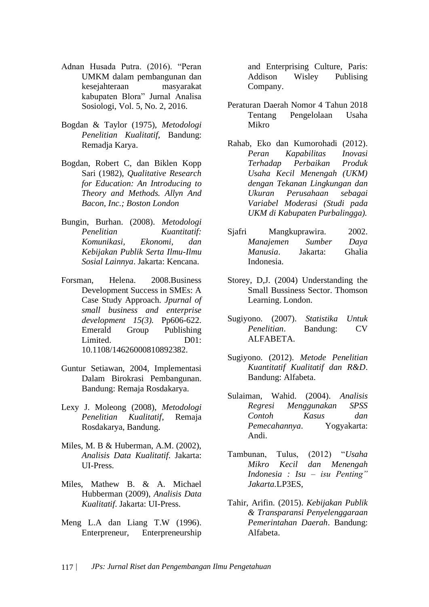- Adnan Husada Putra. (2016). "Peran UMKM dalam pembangunan dan kesejahteraan masyarakat kabupaten Blora" Jurnal Analisa Sosiologi, Vol. 5, No. 2, 2016.
- Bogdan & Taylor (1975), *Metodologi Penelitian Kualitatif,* Bandung: Remadja Karya.
- Bogdan, Robert C, dan Biklen Kopp Sari (1982), *Qualitative Research for Education: An Introducing to Theory and Methods. Allyn And Bacon, Inc.; Boston London*
- Bungin, Burhan. (2008). *Metodologi Penelitian Kuantitatif: Komunikasi, Ekonomi, dan Kebijakan Publik Serta Ilmu-Ilmu Sosial Lainnya*. Jakarta: Kencana.
- Forsman, Helena. 2008.Business Development Success in SMEs: A Case Study Approach. *Jpurnal of small business and enterprise development 15(3).* Pp606-622. Emerald Group Publishing Limited. D01: 10.1108/14626000810892382.
- Guntur Setiawan, 2004, Implementasi Dalam Birokrasi Pembangunan. Bandung: Remaja Rosdakarya.
- Lexy J. Moleong (2008), *Metodologi Penelitian Kualitatif*, Remaja Rosdakarya, Bandung.
- Miles, M. B & Huberman, A.M. (2002), *Analisis Data Kualitatif*. Jakarta: UI-Press.
- Miles, Mathew B. & A. Michael Hubberman (2009), *Analisis Data Kualitatif*. Jakarta: UI-Press.
- Meng L.A dan Liang T.W (1996). Enterpreneur, Enterpreneurship

and Enterprising Culture, Paris: Addison Wisley Publising Company.

- Peraturan Daerah Nomor 4 Tahun 2018 Tentang Pengelolaan Usaha Mikro
- Rahab, Eko dan Kumorohadi (2012). *Peran Kapabilitas Inovasi Terhadap Perbaikan Produk Usaha Kecil Menengah (UKM) dengan Tekanan Lingkungan dan Ukuran Perusahaan sebagai Variabel Moderasi (Studi pada UKM di Kabupaten Purbalingga).*
- Sjafri Mangkuprawira. 2002. *Manajemen Sumber Daya Manusia*. Jakarta: Ghalia Indonesia.
- Storey, D,J. (2004) Understanding the Small Bussiness Sector. Thomson Learning. London.
- Sugiyono. (2007). *Statistika Untuk Penelitian*. Bandung: CV ALFABETA.
- Sugiyono. (2012). *Metode Penelitian Kuantitatif Kualitatif dan R&D*. Bandung: Alfabeta.
- Sulaiman, Wahid. (2004). *Analisis Regresi Menggunakan SPSS Contoh Kasus dan Pemecahannya*. Yogyakarta: Andi.
- Tambunan, Tulus, (2012) "*Usaha Mikro Kecil dan Menengah Indonesia : Isu – isu Penting" Jakarta.*LP3ES,
- Tahir, Arifin. (2015). *Kebijakan Publik & Transparansi Penyelenggaraan Pemerintahan Daerah*. Bandung: Alfabeta.